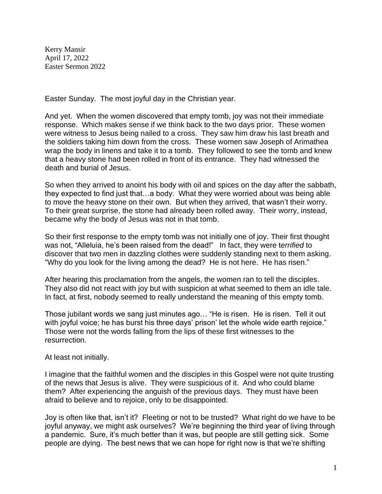Kerry Mansir April 17, 2022 Easter Sermon 2022

Easter Sunday. The most joyful day in the Christian year.

And yet. When the women discovered that empty tomb, joy was not their immediate response. Which makes sense if we think back to the two days prior. These women were witness to Jesus being nailed to a cross. They saw him draw his last breath and the soldiers taking him down from the cross. These women saw Joseph of Arimathea wrap the body in linens and take it to a tomb. They followed to see the tomb and knew that a heavy stone had been rolled in front of its entrance. They had witnessed the death and burial of Jesus.

So when they arrived to anoint his body with oil and spices on the day after the sabbath, they expected to find just that…a body. What they were worried about was being able to move the heavy stone on their own. But when they arrived, that wasn't their worry. To their great surprise, the stone had already been rolled away. Their worry, instead, became why the body of Jesus was not in that tomb.

So their first response to the empty tomb was not initially one of joy. Their first thought was not, "Alleluia, he's been raised from the dead!" In fact, they were t*errified* to discover that two men in dazzling clothes were suddenly standing next to them asking. "Why do you look for the living among the dead? He is not here. He has risen."

After hearing this proclamation from the angels, the women ran to tell the disciples. They also did not react with joy but with suspicion at what seemed to them an idle tale. In fact, at first, nobody seemed to really understand the meaning of this empty tomb.

Those jubilant words we sang just minutes ago… "He is risen. He is risen. Tell it out with joyful voice; he has burst his three days' prison' let the whole wide earth rejoice." Those were not the words falling from the lips of these first witnesses to the resurrection.

At least not initially.

I imagine that the faithful women and the disciples in this Gospel were not quite trusting of the news that Jesus is alive. They were suspicious of it. And who could blame them? After experiencing the anguish of the previous days. They must have been afraid to believe and to rejoice, only to be disappointed.

Joy is often like that, isn't it? Fleeting or not to be trusted? What right do we have to be joyful anyway, we might ask ourselves? We're beginning the third year of living through a pandemic. Sure, it's much better than it was, but people are still getting sick. Some people are dying. The best news that we can hope for right now is that we're shifting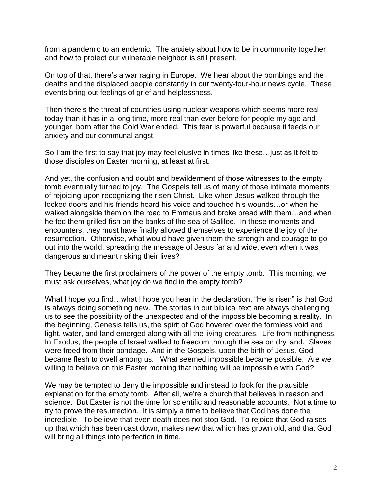from a pandemic to an endemic. The anxiety about how to be in community together and how to protect our vulnerable neighbor is still present.

On top of that, there's a war raging in Europe. We hear about the bombings and the deaths and the displaced people constantly in our twenty-four-hour news cycle. These events bring out feelings of grief and helplessness.

Then there's the threat of countries using nuclear weapons which seems more real today than it has in a long time, more real than ever before for people my age and younger, born after the Cold War ended. This fear is powerful because it feeds our anxiety and our communal angst.

So I am the first to say that joy may feel elusive in times like these…just as it felt to those disciples on Easter morning, at least at first.

And yet, the confusion and doubt and bewilderment of those witnesses to the empty tomb eventually turned to joy. The Gospels tell us of many of those intimate moments of rejoicing upon recognizing the risen Christ. Like when Jesus walked through the locked doors and his friends heard his voice and touched his wounds…or when he walked alongside them on the road to Emmaus and broke bread with them…and when he fed them grilled fish on the banks of the sea of Galilee. In these moments and encounters, they must have finally allowed themselves to experience the joy of the resurrection. Otherwise, what would have given them the strength and courage to go out into the world, spreading the message of Jesus far and wide, even when it was dangerous and meant risking their lives?

They became the first proclaimers of the power of the empty tomb. This morning, we must ask ourselves, what joy do we find in the empty tomb?

What I hope you find…what I hope you hear in the declaration, "He is risen" is that God is always doing something new. The stories in our biblical text are always challenging us to see the possibility of the unexpected and of the impossible becoming a reality. In the beginning, Genesis tells us, the spirit of God hovered over the formless void and light, water, and land emerged along with all the living creatures. Life from nothingness. In Exodus, the people of Israel walked to freedom through the sea on dry land. Slaves were freed from their bondage. And in the Gospels, upon the birth of Jesus, God became flesh to dwell among us. What seemed impossible became possible. Are we willing to believe on this Easter morning that nothing will be impossible with God?

We may be tempted to deny the impossible and instead to look for the plausible explanation for the empty tomb. After all, we're a church that believes in reason and science. But Easter is not the time for scientific and reasonable accounts. Not a time to try to prove the resurrection. It is simply a time to believe that God has done the incredible. To believe that even death does not stop God. To rejoice that God raises up that which has been cast down, makes new that which has grown old, and that God will bring all things into perfection in time.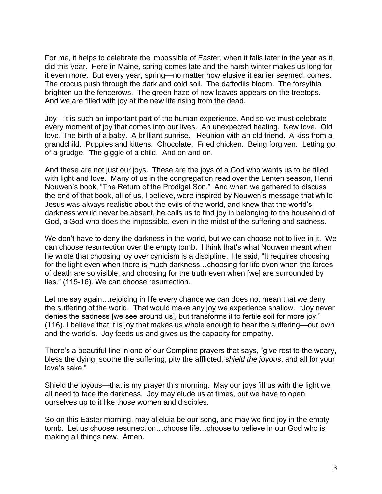For me, it helps to celebrate the impossible of Easter, when it falls later in the year as it did this year. Here in Maine, spring comes late and the harsh winter makes us long for it even more. But every year, spring—no matter how elusive it earlier seemed, comes. The crocus push through the dark and cold soil. The daffodils bloom. The forsythia brighten up the fencerows. The green haze of new leaves appears on the treetops. And we are filled with joy at the new life rising from the dead.

Joy—it is such an important part of the human experience. And so we must celebrate every moment of joy that comes into our lives. An unexpected healing. New love. Old love. The birth of a baby. A brilliant sunrise. Reunion with an old friend. A kiss from a grandchild. Puppies and kittens. Chocolate. Fried chicken. Being forgiven. Letting go of a grudge. The giggle of a child. And on and on.

And these are not just our joys. These are the joys of a God who wants us to be filled with light and love. Many of us in the congregation read over the Lenten season, Henri Nouwen's book, "The Return of the Prodigal Son." And when we gathered to discuss the end of that book, all of us, I believe, were inspired by Nouwen's message that while Jesus was always realistic about the evils of the world, and knew that the world's darkness would never be absent, he calls us to find joy in belonging to the household of God, a God who does the impossible, even in the midst of the suffering and sadness.

We don't have to deny the darkness in the world, but we can choose not to live in it. We can choose resurrection over the empty tomb. I think that's what Nouwen meant when he wrote that choosing joy over cynicism is a discipline. He said, "It requires choosing for the light even when there is much darkness…choosing for life even when the forces of death are so visible, and choosing for the truth even when [we] are surrounded by lies." (115-16). We can choose resurrection.

Let me say again... rejoicing in life every chance we can does not mean that we deny the suffering of the world. That would make any joy we experience shallow. "Joy never denies the sadness [we see around us], but transforms it to fertile soil for more joy." (116). I believe that it is joy that makes us whole enough to bear the suffering—our own and the world's. Joy feeds us and gives us the capacity for empathy.

There's a beautiful line in one of our Compline prayers that says, "give rest to the weary, bless the dying, soothe the suffering, pity the afflicted, *shield the joyous*, and all for your love's sake."

Shield the joyous—that is my prayer this morning. May our joys fill us with the light we all need to face the darkness. Joy may elude us at times, but we have to open ourselves up to it like those women and disciples.

So on this Easter morning, may alleluia be our song, and may we find joy in the empty tomb. Let us choose resurrection…choose life…choose to believe in our God who is making all things new. Amen.